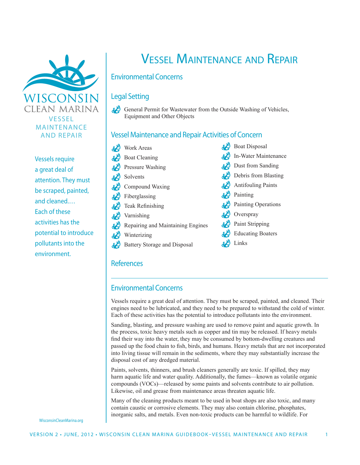

Vessels require a great deal of attention. They must be scraped, painted, and cleaned.… Each of these activities has the potential to introduce pollutants into the environment.

Vessel Maintenance and Repair

# Environmental Concerns

## Legal Setting

General Permit for Wastewater from the Outside Washing of Vehicles, Equipment and Other Objects

# Vessel Maintenance and Repair Activities of Concern

| قحم | Work Areas                        | <b>Boat Disposal</b>           |
|-----|-----------------------------------|--------------------------------|
|     | Boat Cleaning                     | In-Water Maintenance           |
|     | Pressure Washing                  | $\bigotimes$ Dust from Sanding |
|     | Solvents                          | Debris from Blasting           |
|     | Compound Waxing                   | Antifouling Paints             |
|     | Fiberglassing                     | $\sum$ Painting                |
|     | Teak Refinishing                  | Painting Operations            |
|     | Varnishing                        | Overspray                      |
|     | Repairing and Maintaining Engines | Paint Stripping                |
| £Ö  | Winterizing                       | Educating Boaters              |
|     | Battery Storage and Disposal      | Links                          |
|     |                                   |                                |

## **References**

# Environmental Concerns

Vessels require a great deal of attention. They must be scraped, painted, and cleaned. Their engines need to be lubricated, and they need to be prepared to withstand the cold of winter. Each of these activities has the potential to introduce pollutants into the environment.

Sanding, blasting, and pressure washing are used to remove paint and aquatic growth. In the process, toxic heavy metals such as copper and tin may be released. If heavy metals find their way into the water, they may be consumed by bottom-dwelling creatures and passed up the food chain to fish, birds, and humans. Heavy metals that are not incorporated into living tissue will remain in the sediments, where they may substantially increase the disposal cost of any dredged material.

Paints, solvents, thinners, and brush cleaners generally are toxic. If spilled, they may harm aquatic life and water quality. Additionally, the fumes—known as volatile organic compounds (VOCs)—released by some paints and solvents contribute to air pollution. Likewise, oil and grease from maintenance areas threaten aquatic life.

Many of the cleaning products meant to be used in boat shops are also toxic, and many contain caustic or corrosive elements. They may also contain chlorine, phosphates, inorganic salts, and metals. Even non-toxic products can be harmful to wildlife. For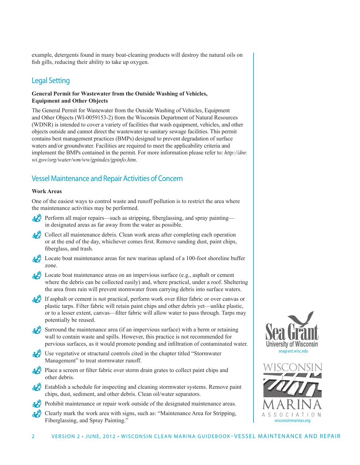example, detergents found in many boat-cleaning products will destroy the natural oils on fish gills, reducing their ability to take up oxygen.

# Legal Setting

## **General Permit for Wastewater from the Outside Washing of Vehicles, Equipment and Other Objects**

The General Permit for Wastewater from the Outside Washing of Vehicles, Equipment and Other Objects (WI-0059153-2) from the Wisconsin Department of Natural Resources (WDNR) is intended to cover a variety of facilities that wash equipment, vehicles, and other objects outside and cannot direct the wastewater to sanitary sewage facilities. This permit contains best management practices (BMPs) designed to prevent degradation of surface waters and/or groundwater. Facilities are required to meet the applicability criteria and implement the BMPs contained in the permit. For more information please refer to: *[http://dnr.](http://dnr.wi.gov/org/water/wm/ww/gpindex/gpinfo.htm) [wi.gov/org/water/wm/ww/gpindex/gpinfo.htm](http://dnr.wi.gov/org/water/wm/ww/gpindex/gpinfo.htm)*.

# Vessel Maintenance and Repair Activities of Concern

## **Work Areas**

One of the easiest ways to control waste and runoff pollution is to restrict the area where the maintenance activities may be performed.

- Perform all major repairs—such as stripping, fiberglassing, and spray painting in designated areas as far away from the water as possible.
- Collect all maintenance debris. Clean work areas after completing each operation or at the end of the day, whichever comes first. Remove sanding dust, paint chips, fiberglass, and trash.
- Locate boat maintenance areas for new marinas upland of a 100-foot shoreline buffer zone.
- Locate boat maintenance areas on an impervious surface (e.g., asphalt or cement where the debris can be collected easily) and, where practical, under a roof. Sheltering the area from rain will prevent stormwater from carrying debris into surface waters.
- If asphalt or cement is not practical, perform work over filter fabric or over canvas or plastic tarps. Filter fabric will retain paint chips and other debris yet—unlike plastic, or to a lesser extent, canvas—filter fabric will allow water to pass through. Tarps may potentially be reused.
- Surround the maintenance area (if an impervious surface) with a berm or retaining wall to contain waste and spills. However, this practice is not recommended for pervious surfaces, as it would promote ponding and infiltration of contaminated water.
- Use vegetative or structural controls cited in the chapter titled "Stormwater" Management" to treat stormwater runoff.
- Place a screen or filter fabric over storm drain grates to collect paint chips and other debris.
- Establish a schedule for inspecting and cleaning stormwater systems. Remove paint chips, dust, sediment, and other debris. Clean oil/water separators.
- Prohibit maintenance or repair work outside of the designated maintenance areas.
- Clearly mark the work area with signs, such as: "Maintenance Area for Stripping, Fiberglassing, and Spray Painting."



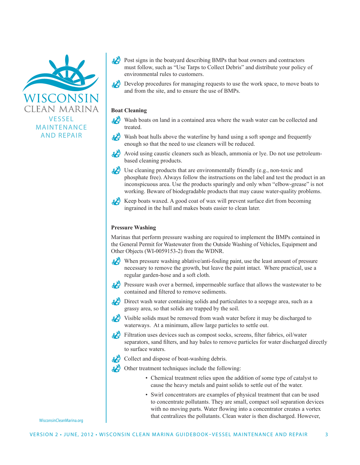

- Post signs in the boatyard describing BMPs that boat owners and contractors must follow, such as "Use Tarps to Collect Debris" and distribute your policy of environmental rules to customers.
- Develop procedures for managing requests to use the work space, to move boats to and from the site, and to ensure the use of BMPs.

### **Boat Cleaning**

- Wash boats on land in a contained area where the wash water can be collected and treated.
- Wash boat hulls above the waterline by hand using a soft sponge and frequently enough so that the need to use cleaners will be reduced.
- 
- Avoid using caustic cleaners such as bleach, ammonia or lye. Do not use petroleumbased cleaning products.
- Use cleaning products that are environmentally friendly (e.g., non-toxic and phosphate free). Always follow the instructions on the label and test the product in an inconspicuous area. Use the products sparingly and only when "elbow-grease" is not working. Beware of biodegradable products that may cause water-quality problems.
- Keep boats waxed. A good coat of wax will prevent surface dirt from becoming ingrained in the hull and makes boats easier to clean later.

#### **Pressure Washing**

Marinas that perform pressure washing are required to implement the BMPs contained in the General Permit for Wastewater from the Outside Washing of Vehicles, Equipment and Other Objects (WI-0059153-2) from the WDNR.

- When pressure washing ablative/anti-fouling paint, use the least amount of pressure necessary to remove the growth, but leave the paint intact. Where practical, use a regular garden-hose and a soft cloth.
- Pressure wash over a bermed, impermeable surface that allows the wastewater to be contained and filtered to remove sediments.
- Direct wash water containing solids and particulates to a seepage area, such as a grassy area, so that solids are trapped by the soil.
- Visible solids must be removed from wash water before it may be discharged to waterways. At a minimum, allow large particles to settle out.
- Filtration uses devices such as compost socks, screens, filter fabrics, oil/water separators, sand filters, and hay bales to remove particles for water discharged directly to surface waters.

Collect and dispose of boat-washing debris.

Other treatment techniques include the following:

- Chemical treatment relies upon the addition of some type of catalyst to cause the heavy metals and paint solids to settle out of the water.
- Swirl concentrators are examples of physical treatment that can be used to concentrate pollutants. They are small, compact soil separation devices with no moving parts. Water flowing into a concentrator creates a vortex that centralizes the pollutants. Clean water is then discharged. However,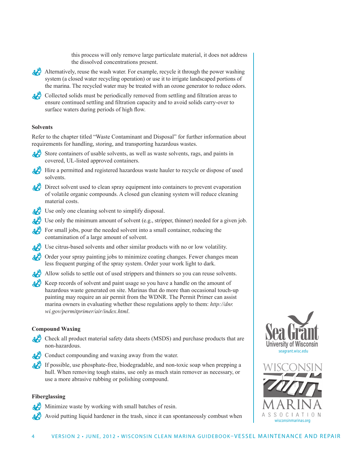this process will only remove large particulate material, it does not address the dissolved concentrations present.





Collected solids must be periodically removed from settling and filtration areas to ensure continued settling and filtration capacity and to avoid solids carry-over to surface waters during periods of high flow.

#### **Solvents**

Refer to the chapter titled "Waste Contaminant and Disposal" for further information about requirements for handling, storing, and transporting hazardous wastes.

- Store containers of usable solvents, as well as waste solvents, rags, and paints in covered, UL-listed approved containers.
- Hire a permitted and registered hazardous waste hauler to recycle or dispose of used solvents.
- Direct solvent used to clean spray equipment into containers to prevent evaporation of volatile organic compounds. A closed gun cleaning system will reduce cleaning material costs.
- Use only one cleaning solvent to simplify disposal. £D
- Use only the minimum amount of solvent (e.g., stripper, thinner) needed for a given job.
- For small jobs, pour the needed solvent into a small container, reducing the contamination of a large amount of solvent.
- Use citrus-based solvents and other similar products with no or low volatility.
- Order your spray painting jobs to minimize coating changes. Fewer changes mean less frequent purging of the spray system. Order your work light to dark.
- Allow solids to settle out of used strippers and thinners so you can reuse solvents.
- Keep records of solvent and paint usage so you have a handle on the amount of hazardous waste generated on site. Marinas that do more than occasional touch-up painting may require an air permit from the WDNR. The Permit Primer can assist marina owners in evaluating whether these regulations apply to them: *[http://dnr.](http://dnr.wi.gov/permitprimer/air/index.html) [wi.gov/permitprimer/air/index.html](http://dnr.wi.gov/permitprimer/air/index.html)*.

## **Compound Waxing**

- Check all product material safety data sheets (MSDS) and purchase products that are non-hazardous.
- Conduct compounding and waxing away from the water.
- If possible, use phosphate-free, biodegradable, and non-toxic soap when prepping a hull. When removing tough stains, use only as much stain remover as necessary, or use a more abrasive rubbing or polishing compound.

## **Fiberglassing**

- Minimize waste by working with small batches of resin.
- Avoid putting liquid hardener in the trash, since it can spontaneously combust when



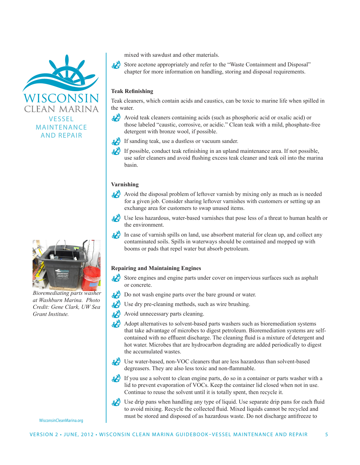

*Bioremediating parts washer at Washburn Marina. Photo Credit: Gene Clark, UW Sea Grant Institute.*

[WisconsinCleanMarina.org](http://www.WisconsinCleanMarina.org)



 Store acetone appropriately and refer to the "Waste Containment and Disposal" chapter for more information on handling, storing and disposal requirements.

#### **Teak Refinishing**

Teak cleaners, which contain acids and caustics, can be toxic to marine life when spilled in the water.

Avoid teak cleaners containing acids (such as phosphoric acid or oxalic acid) or those labeled "caustic, corrosive, or acidic." Clean teak with a mild, phosphate-free detergent with bronze wool, if possible.



If possible, conduct teak refinishing in an upland maintenance area. If not possible, use safer cleaners and avoid flushing excess teak cleaner and teak oil into the marina basin.

#### **Varnishing**

- Avoid the disposal problem of leftover varnish by mixing only as much as is needed for a given job. Consider sharing leftover varnishes with customers or setting up an exchange area for customers to swap unused items.
- Use less hazardous, water-based varnishes that pose less of a threat to human health or the environment.
- In case of varnish spills on land, use absorbent material for clean up, and collect any contaminated soils. Spills in waterways should be contained and mopped up with booms or pads that repel water but absorb petroleum.

### **Repairing and Maintaining Engines**

- Store engines and engine parts under cover on impervious surfaces such as asphalt or concrete.
- Do not wash engine parts over the bare ground or water.
- Use dry pre-cleaning methods, such as wire brushing.
- Avoid unnecessary parts cleaning.
- Adopt alternatives to solvent-based parts washers such as bioremediation systems that take advantage of microbes to digest petroleum. Bioremediation systems are selfcontained with no effluent discharge. The cleaning fluid is a mixture of detergent and hot water. Microbes that are hydrocarbon degrading are added periodically to digest the accumulated wastes.
- Use water-based, non-VOC cleaners that are less hazardous than solvent-based degreasers. They are also less toxic and non-flammable.
- If you use a solvent to clean engine parts, do so in a container or parts washer with a lid to prevent evaporation of VOCs. Keep the container lid closed when not in use. Continue to reuse the solvent until it is totally spent, then recycle it.
- Use drip pans when handling any type of liquid. Use separate drip pans for each fluid to avoid mixing. Recycle the collected fluid. Mixed liquids cannot be recycled and must be stored and disposed of as hazardous waste. Do not discharge antifreeze to

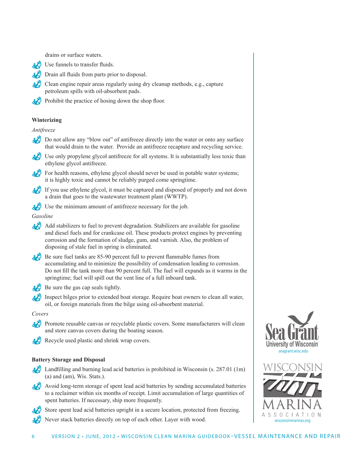drains or surface waters.



- Use funnels to transfer fluids.
- 
- Drain all fluids from parts prior to disposal.
- Clean engine repair areas regularly using dry cleanup methods, e.g., capture petroleum spills with oil-absorbent pads.
- Prohibit the practice of hosing down the shop floor. £D

## **Winterizing**

*Antifreeze*

- Do not allow any "blow out" of antifreeze directly into the water or onto any surface that would drain to the water. Provide an antifreeze recapture and recycling service.
- Use only propylene glycol antifreeze for all systems. It is substantially less toxic than ethylene glycol antifreeze.
- For health reasons, ethylene glycol should never be used in potable water systems; it is highly toxic and cannot be reliably purged come springtime.
- If you use ethylene glycol, it must be captured and disposed of properly and not down a drain that goes to the wastewater treatment plant (WWTP).
- Use the minimum amount of antifreeze necessary for the job.

*Gasoline*

- Add stabilizers to fuel to prevent degradation. Stabilizers are available for gasoline and diesel fuels and for crankcase oil. These products protect engines by preventing corrosion and the formation of sludge, gum, and varnish. Also, the problem of disposing of stale fuel in spring is eliminated.
- Be sure fuel tanks are 85-90 percent full to prevent flammable fumes from accumulating and to minimize the possibility of condensation leading to corrosion. Do not fill the tank more than 90 percent full. The fuel will expands as it warms in the springtime; fuel will spill out the vent line of a full inboard tank.



- Be sure the gas cap seals tightly.
- Inspect bilges prior to extended boat storage. Require boat owners to clean all water, oil, or foreign materials from the bilge using oil-absorbent material.

## *Covers*

 Promote reusable canvas or recyclable plastic covers. Some manufacturers will clean and store canvas covers during the boating season.

Recycle used plastic and shrink wrap covers.

## **Battery Storage and Disposal**

- Landfilling and burning lead acid batteries is prohibited in Wisconsin (s. 287.01 (1m) (a) and (am), Wis. Stats.).
- Avoid long-term storage of spent lead acid batteries by sending accumulated batteries to a reclaimer within six months of receipt. Limit accumulation of large quantities of spent batteries. If necessary, ship more frequently.
	- Store spent lead acid batteries upright in a secure location, protected from freezing.
	- Never stack batteries directly on top of each other. Layer with wood.



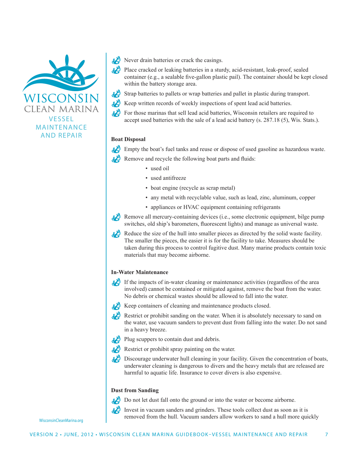

- Never drain batteries or crack the casings.
- Place cracked or leaking batteries in a sturdy, acid-resistant, leak-proof, sealed container (e.g., a sealable five-gallon plastic pail). The container should be kept closed within the battery storage area.
- Strap batteries to pallets or wrap batteries and pallet in plastic during transport.
- Keep written records of weekly inspections of spent lead acid batteries.
- For those marinas that sell lead acid batteries, Wisconsin retailers are required to accept used batteries with the sale of a lead acid battery (s. 287.18 (5), Wis. Stats.).

## **Boat Disposal**

Empty the boat's fuel tanks and reuse or dispose of used gasoline as hazardous waste.

Remove and recycle the following boat parts and fluids:

- used oil
- used antifreeze
- boat engine (recycle as scrap metal)
- any metal with recyclable value, such as lead, zinc, aluminum, copper
- appliances or HVAC equipment containing refrigerants

Remove all mercury-containing devices (i.e., some electronic equipment, bilge pump switches, old ship's barometers, fluorescent lights) and manage as universal waste.

Reduce the size of the hull into smaller pieces as directed by the solid waste facility. The smaller the pieces, the easier it is for the facility to take. Measures should be taken during this process to control fugitive dust. Many marine products contain toxic materials that may become airborne.

## **In-Water Maintenance**

 If the impacts of in-water cleaning or maintenance activities (regardless of the area involved) cannot be contained or mitigated against, remove the boat from the water. No debris or chemical wastes should be allowed to fall into the water.

Keep containers of cleaning and maintenance products closed.

 Restrict or prohibit sanding on the water. When it is absolutely necessary to sand on the water, use vacuum sanders to prevent dust from falling into the water. Do not sand in a heavy breeze.

Plug scuppers to contain dust and debris.

Restrict or prohibit spray painting on the water.<br>Discourage underwater hull cleaning in your fa

 Discourage underwater hull cleaning in your facility. Given the concentration of boats, underwater cleaning is dangerous to divers and the heavy metals that are released are harmful to aquatic life. Insurance to cover divers is also expensive.

#### **Dust from Sanding**

Do not let dust fall onto the ground or into the water or become airborne.

 Invest in vacuum sanders and grinders. These tools collect dust as soon as it is removed from the hull. Vacuum sanders allow workers to sand a hull more quickly

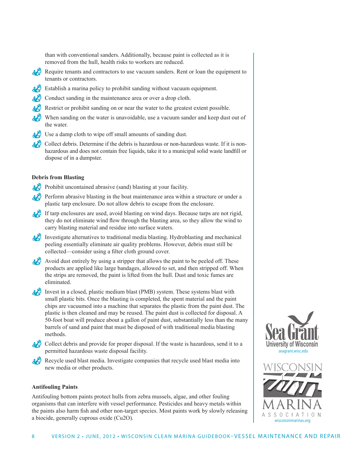than with conventional sanders. Additionally, because paint is collected as it is removed from the hull, health risks to workers are reduced.

- Require tenants and contractors to use vacuum sanders. Rent or loan the equipment to tenants or contractors.
- Establish a marina policy to prohibit sanding without vacuum equipment.
- Conduct sanding in the maintenance area or over a drop cloth.
- Restrict or prohibit sanding on or near the water to the greatest extent possible.
- When sanding on the water is unavoidable, use a vacuum sander and keep dust out of the water.
- Use a damp cloth to wipe off small amounts of sanding dust.
- Collect debris. Determine if the debris is hazardous or non-hazardous waste. If it is nonhazardous and does not contain free liquids, take it to a municipal solid waste landfill or dispose of in a dumpster.

## **Debris from Blasting**

- Prohibit uncontained abrasive (sand) blasting at your facility.
- Perform abrasive blasting in the boat maintenance area within a structure or under a plastic tarp enclosure. Do not allow debris to escape from the enclosure.
- If tarp enclosures are used, avoid blasting on wind days. Because tarps are not rigid, they do not eliminate wind flow through the blasting area, so they allow the wind to carry blasting material and residue into surface waters.
- Investigate alternatives to traditional media blasting. Hydroblasting and mechanical peeling essentially eliminate air quality problems. However, debris must still be collected—consider using a filter cloth ground cover.
- Avoid dust entirely by using a stripper that allows the paint to be peeled off. These products are applied like large bandages, allowed to set, and then stripped off. When the strips are removed, the paint is lifted from the hull. Dust and toxic fumes are eliminated.
- Invest in a closed, plastic medium blast (PMB) system. These systems blast with small plastic bits. Once the blasting is completed, the spent material and the paint chips are vacuumed into a machine that separates the plastic from the paint dust. The plastic is then cleaned and may be reused. The paint dust is collected for disposal. A 50-foot boat will produce about a gallon of paint dust, substantially less than the many barrels of sand and paint that must be disposed of with traditional media blasting methods.
- Collect debris and provide for proper disposal. If the waste is hazardous, send it to a permitted hazardous waste disposal facility.
- Recycle used blast media. Investigate companies that recycle used blast media into new media or other products.

#### **Antifouling Paints**

Antifouling bottom paints protect hulls from zebra mussels, algae, and other fouling organisms that can interfere with vessel performance. Pesticides and heavy metals within the paints also harm fish and other non-target species. Most paints work by slowly releasing a biocide, generally cuprous oxide (Cu2O).



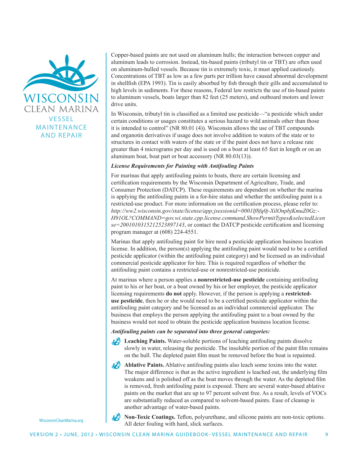

Copper-based paints are not used on aluminum hulls; the interaction between copper and aluminum leads to corrosion. Instead, tin-based paints (tributyl tin or TBT) are often used on aluminum-hulled vessels. Because tin is extremely toxic, it must applied cautiously. Concentrations of TBT as low as a few parts per trillion have caused abnormal development in shellfish (EPA 1993). Tin is easily absorbed by fish through their gills and accumulated to high levels in sediments. For these reasons, Federal law restricts the use of tin-based paints to aluminum vessels, boats larger than 82 feet (25 meters), and outboard motors and lower drive units.

In Wisconsin, tributyl tin is classified as a limited use pesticide—"a pesticide which under certain conditions or usages constitutes a serious hazard to wild animals other than those it is intended to control" (NR 80.01 (4)). Wisconsin allows the use of TBT compounds and organotin derivatives if usage does not involve addition to waters of the state or to structures in contact with waters of the state or if the paint does not have a release rate greater than 4 micrograms per day and is used on a boat at least 65 feet in length or on an aluminum boat, boat part or boat accessory (NR 80.03(13)).

#### *License Requirements for Painting with Antifouling Paints*

For marinas that apply antifouling paints to boats, there are certain licensing and certification requirements by the Wisconsin Department of Agriculture, Trade, and Consumer Protection (DATCP). These requirements are dependent on whether the marina is applying the antifouling paints in a for-hire status and whether the antifouling paint is a restricted-use product. For more information on the certification process, please refer to: *[http://ww2.wisconsin.gov/state/license/app;jsessionid=0001lf8fq0j-XilOnpbjKmuZ0Gz:-](http://ww2.wisconsin.gov/state/license/app;jsessionid=0001lf8fq0j-XilOnpbjKmuZ0Gz:-H91OL?COMMAND=gov.wi.state.cpp.license.command.ShowPermitTypes&selectedLicense=2001010315212523897143) [H91OL?COMMAND=gov.wi.state.cpp.license.command.ShowPermitTypes&selectedLicen](http://ww2.wisconsin.gov/state/license/app;jsessionid=0001lf8fq0j-XilOnpbjKmuZ0Gz:-H91OL?COMMAND=gov.wi.state.cpp.license.command.ShowPermitTypes&selectedLicense=2001010315212523897143) [se=2001010315212523897143](http://ww2.wisconsin.gov/state/license/app;jsessionid=0001lf8fq0j-XilOnpbjKmuZ0Gz:-H91OL?COMMAND=gov.wi.state.cpp.license.command.ShowPermitTypes&selectedLicense=2001010315212523897143)*, or contact the DATCP pesticide certification and licensing program manager at (608) 224-4551.

Marinas that apply antifouling paint for hire need a pesticide application business location license. In addition, the person(s) applying the antifouling paint would need to be a certified pesticide applicator (within the antifouling paint category) and be licensed as an individual commercial pesticide applicator for hire. This is required regardless of whether the antifouling paint contains a restricted-use or nonrestricted-use pesticide.

At marinas where a person applies a **nonrestricted-use pesticide** containing antifouling paint to his or her boat, or a boat owned by his or her employer, the pesticide applicator licensing requirements **do not** apply. However, if the person is applying a **restricteduse pesticide**, then he or she would need to be a certified pesticide applicator within the antifouling paint category and be licensed as an individual commercial applicator. The business that employs the person applying the antifouling paint to a boat owned by the business would not need to obtain the pesticide application business location license.

#### *Antifouling paints can be separated into three general categories:*



Ablative Paints. Ablative antifouling paints also leach some toxins into the water. The major difference is that as the active ingredient is leached out, the underlying film weakens and is polished off as the boat moves through the water. As the depleted film is removed, fresh antifouling paint is exposed. There are several water-based ablative paints on the market that are up to 97 percent solvent free. As a result, levels of VOCs are substantially reduced as compared to solvent-based paints. Ease of cleanup is another advantage of water-based paints.

[WisconsinCleanMarina.org](http://www.WisconsinCleanMarina.org)

**Non-Toxic Coatings.** Teflon, polyurethane, and silicone paints are non-toxic options. All deter fouling with hard, slick surfaces.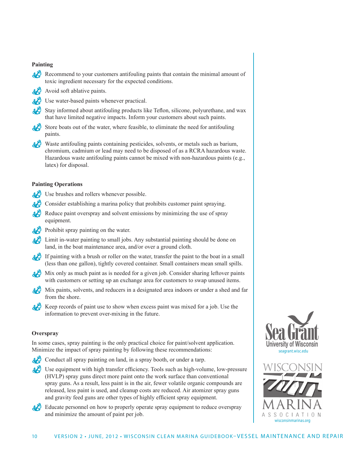## **Painting**

- **AD** Recommend to your customers antifouling paints that contain the minimal amount of toxic ingredient necessary for the expected conditions.
- Avoid soft ablative paints.
- - Use water-based paints whenever practical.
- Stay informed about antifouling products like Teflon, silicone, polyurethane, and wax that have limited negative impacts. Inform your customers about such paints.
- Store boats out of the water, where feasible, to eliminate the need for antifouling łP paints.
- Waste antifouling paints containing pesticides, solvents, or metals such as barium, £P chromium, cadmium or lead may need to be disposed of as a RCRA hazardous waste. Hazardous waste antifouling paints cannot be mixed with non-hazardous paints (e.g., latex) for disposal.

#### **Painting Operations**

- Use brushes and rollers whenever possible.
- Consider establishing a marina policy that prohibits customer paint spraying.
- Reduce paint overspray and solvent emissions by minimizing the use of spray equipment.
- Prohibit spray painting on the water. £Õ
- Limit in-water painting to small jobs. Any substantial painting should be done on land, in the boat maintenance area, and/or over a ground cloth.
- If painting with a brush or roller on the water, transfer the paint to the boat in a small (less than one gallon), tightly covered container. Small containers mean small spills.
- Mix only as much paint as is needed for a given job. Consider sharing leftover paints with customers or setting up an exchange area for customers to swap unused items.
- Mix paints, solvents, and reducers in a designated area indoors or under a shed and far from the shore.
- Keep records of paint use to show when excess paint was mixed for a job. Use the **AD** information to prevent over-mixing in the future.

#### **Overspray**

In some cases, spray painting is the only practical choice for paint/solvent application. Minimize the impact of spray painting by following these recommendations:



Conduct all spray painting on land, in a spray booth, or under a tarp.

Use equipment with high transfer efficiency. Tools such as high-volume, low-pressure (HVLP) spray guns direct more paint onto the work surface than conventional spray guns. As a result, less paint is in the air, fewer volatile organic compounds are released, less paint is used, and cleanup costs are reduced. Air atomizer spray guns and gravity feed guns are other types of highly efficient spray equipment.



Educate personnel on how to properly operate spray equipment to reduce overspray and minimize the amount of paint per job.